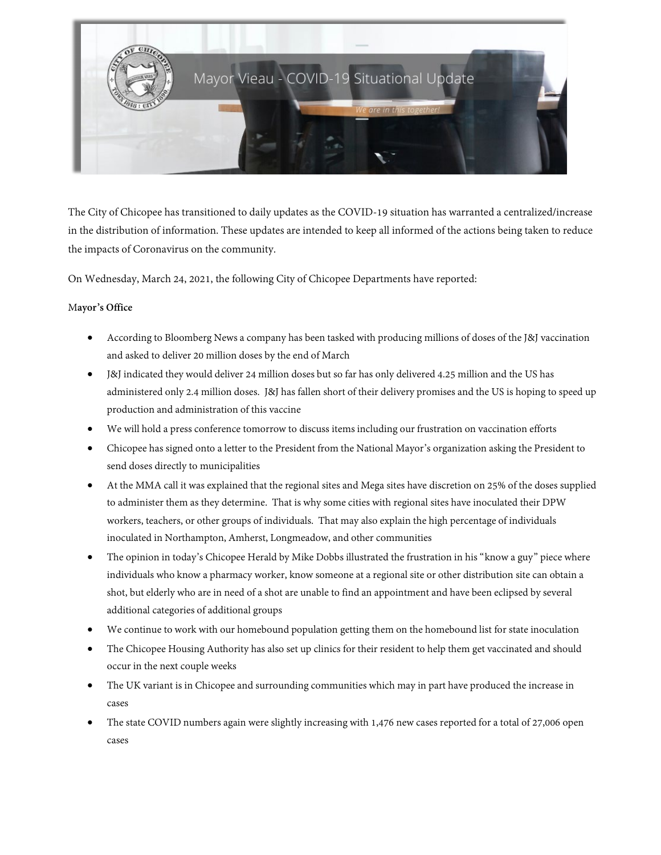

The City of Chicopee has transitioned to daily updates as the COVID-19 situation has warranted a centralized/increase in the distribution of information. These updates are intended to keep all informed of the actions being taken to reduce the impacts of Coronavirus on the community.

On Wednesday, March 24, 2021, the following City of Chicopee Departments have reported:

## M**ayor's Office**

- According to Bloomberg News a company has been tasked with producing millions of doses of the J&J vaccination and asked to deliver 20 million doses by the end of March
- J&J indicated they would deliver 24 million doses but so far has only delivered 4.25 million and the US has administered only 2.4 million doses. J&J has fallen short of their delivery promises and the US is hoping to speed up production and administration of this vaccine
- We will hold a press conference tomorrow to discuss items including our frustration on vaccination efforts
- Chicopee has signed onto a letter to the President from the National Mayor's organization asking the President to send doses directly to municipalities
- At the MMA call it was explained that the regional sites and Mega sites have discretion on 25% of the doses supplied to administer them as they determine. That is why some cities with regional sites have inoculated their DPW workers, teachers, or other groups of individuals. That may also explain the high percentage of individuals inoculated in Northampton, Amherst, Longmeadow, and other communities
- The opinion in today's Chicopee Herald by Mike Dobbs illustrated the frustration in his "know a guy" piece where individuals who know a pharmacy worker, know someone at a regional site or other distribution site can obtain a shot, but elderly who are in need of a shot are unable to find an appointment and have been eclipsed by several additional categories of additional groups
- We continue to work with our homebound population getting them on the homebound list for state inoculation
- The Chicopee Housing Authority has also set up clinics for their resident to help them get vaccinated and should occur in the next couple weeks
- The UK variant is in Chicopee and surrounding communities which may in part have produced the increase in cases
- The state COVID numbers again were slightly increasing with 1,476 new cases reported for a total of 27,006 open cases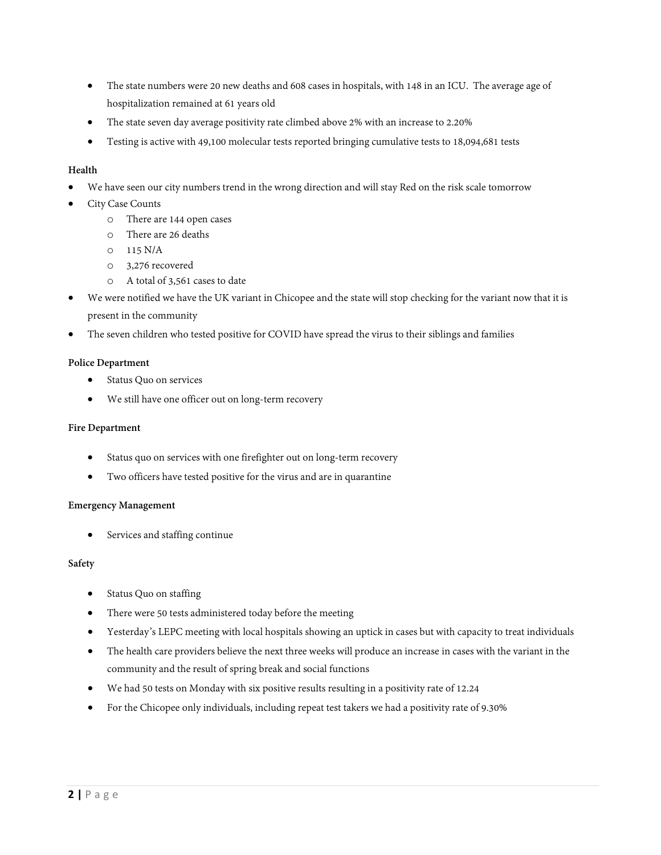- The state numbers were 20 new deaths and 608 cases in hospitals, with 148 in an ICU. The average age of hospitalization remained at 61 years old
- The state seven day average positivity rate climbed above 2% with an increase to 2.20%
- Testing is active with 49,100 molecular tests reported bringing cumulative tests to 18,094,681 tests

## **Health**

- We have seen our city numbers trend in the wrong direction and will stay Red on the risk scale tomorrow
- City Case Counts
	- o There are 144 open cases
	- o There are 26 deaths
	- o 115 N/A
	- o 3,276 recovered
	- o A total of 3,561 cases to date
- We were notified we have the UK variant in Chicopee and the state will stop checking for the variant now that it is present in the community
- The seven children who tested positive for COVID have spread the virus to their siblings and families

#### **Police Department**

- Status Quo on services
- We still have one officer out on long-term recovery

#### **Fire Department**

- Status quo on services with one firefighter out on long-term recovery
- Two officers have tested positive for the virus and are in quarantine

#### **Emergency Management**

• Services and staffing continue

#### **Safety**

- Status Quo on staffing
- There were 50 tests administered today before the meeting
- Yesterday's LEPC meeting with local hospitals showing an uptick in cases but with capacity to treat individuals
- The health care providers believe the next three weeks will produce an increase in cases with the variant in the community and the result of spring break and social functions
- We had 50 tests on Monday with six positive results resulting in a positivity rate of 12.24
- For the Chicopee only individuals, including repeat test takers we had a positivity rate of 9.30%